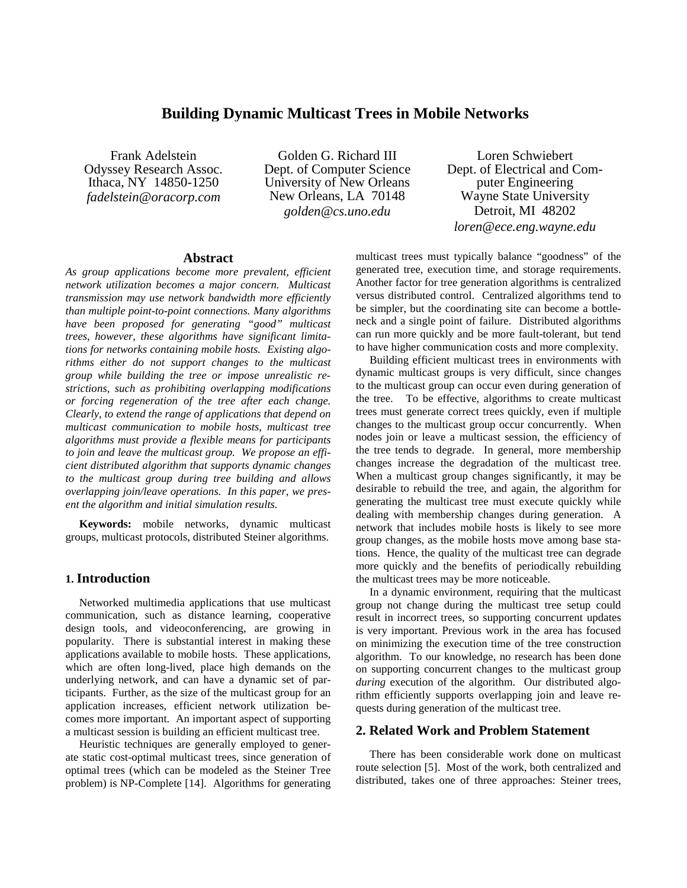# **Building Dynamic Multicast Trees in Mobile Networks**

Frank Adelstein Odyssey Research Assoc. Ithaca, NY 14850-1250 *fadelstein@oracorp.com*

Golden G. Richard III Dept. of Computer Science University of New Orleans New Orleans, LA 70148 *golden@cs.uno.edu*

Loren Schwiebert Dept. of Electrical and Computer Engineering Wayne State University Detroit, MI 48202 *loren@ece.eng.wayne.edu*

## **Abstract**

*As group applications become more prevalent, efficient network utilization becomes a major concern. Multicast transmission may use network bandwidth more efficiently than multiple point-to-point connections. Many algorithms have been proposed for generating "good" multicast trees, however, these algorithms have significant limitations for networks containing mobile hosts. Existing algorithms either do not support changes to the multicast group while building the tree or impose unrealistic restrictions, such as prohibiting overlapping modifications or forcing regeneration of the tree after each change. Clearly, to extend the range of applications that depend on multicast communication to mobile hosts, multicast tree algorithms must provide a flexible means for participants to join and leave the multicast group. We propose an efficient distributed algorithm that supports dynamic changes to the multicast group during tree building and allows overlapping join/leave operations. In this paper, we present the algorithm and initial simulation results.*

**Keywords:** mobile networks, dynamic multicast groups, multicast protocols, distributed Steiner algorithms.

## **1. Introduction**

Networked multimedia applications that use multicast communication, such as distance learning, cooperative design tools, and videoconferencing, are growing in popularity. There is substantial interest in making these applications available to mobile hosts. These applications, which are often long-lived, place high demands on the underlying network, and can have a dynamic set of participants. Further, as the size of the multicast group for an application increases, efficient network utilization becomes more important. An important aspect of supporting a multicast session is building an efficient multicast tree.

Heuristic techniques are generally employed to generate static cost-optimal multicast trees, since generation of optimal trees (which can be modeled as the Steiner Tree problem) is NP-Complete [14]. Algorithms for generating

multicast trees must typically balance "goodness" of the generated tree, execution time, and storage requirements. Another factor for tree generation algorithms is centralized versus distributed control. Centralized algorithms tend to be simpler, but the coordinating site can become a bottleneck and a single point of failure. Distributed algorithms can run more quickly and be more fault-tolerant, but tend to have higher communication costs and more complexity.

Building efficient multicast trees in environments with dynamic multicast groups is very difficult, since changes to the multicast group can occur even during generation of the tree. To be effective, algorithms to create multicast trees must generate correct trees quickly, even if multiple changes to the multicast group occur concurrently. When nodes join or leave a multicast session, the efficiency of the tree tends to degrade. In general, more membership changes increase the degradation of the multicast tree. When a multicast group changes significantly, it may be desirable to rebuild the tree, and again, the algorithm for generating the multicast tree must execute quickly while dealing with membership changes during generation. A network that includes mobile hosts is likely to see more group changes, as the mobile hosts move among base stations. Hence, the quality of the multicast tree can degrade more quickly and the benefits of periodically rebuilding the multicast trees may be more noticeable.

In a dynamic environment, requiring that the multicast group not change during the multicast tree setup could result in incorrect trees, so supporting concurrent updates is very important. Previous work in the area has focused on minimizing the execution time of the tree construction algorithm. To our knowledge, no research has been done on supporting concurrent changes to the multicast group *during* execution of the algorithm. Our distributed algorithm efficiently supports overlapping join and leave requests during generation of the multicast tree.

# **2. Related Work and Problem Statement**

There has been considerable work done on multicast route selection [5]. Most of the work, both centralized and distributed, takes one of three approaches: Steiner trees,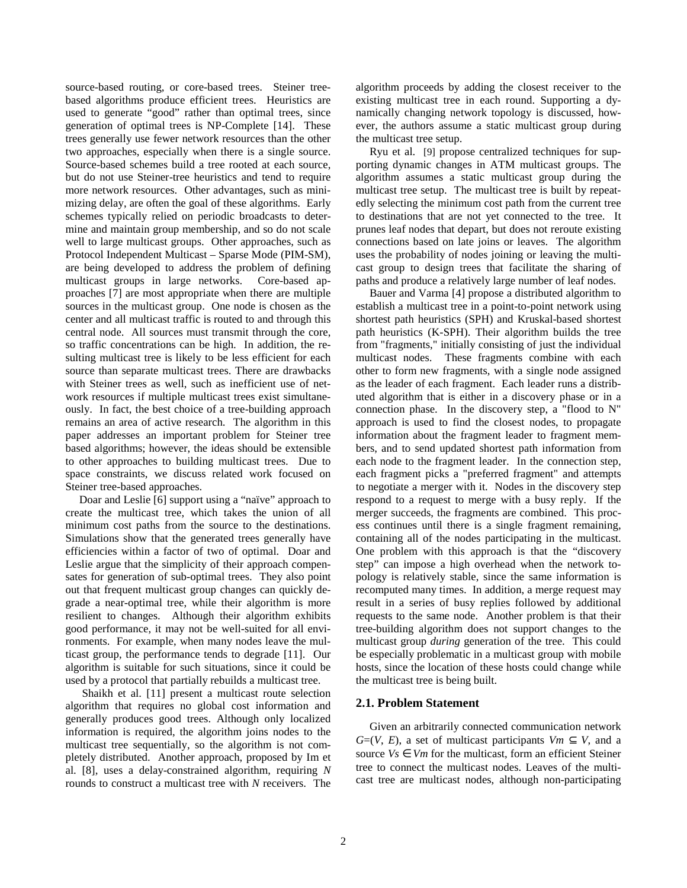source-based routing, or core-based trees. Steiner treebased algorithms produce efficient trees. Heuristics are used to generate "good" rather than optimal trees, since generation of optimal trees is NP-Complete [14]. These trees generally use fewer network resources than the other two approaches, especially when there is a single source. Source-based schemes build a tree rooted at each source, but do not use Steiner-tree heuristics and tend to require more network resources. Other advantages, such as minimizing delay, are often the goal of these algorithms. Early schemes typically relied on periodic broadcasts to determine and maintain group membership, and so do not scale well to large multicast groups. Other approaches, such as Protocol Independent Multicast – Sparse Mode (PIM-SM), are being developed to address the problem of defining multicast groups in large networks. Core-based approaches [7] are most appropriate when there are multiple sources in the multicast group. One node is chosen as the center and all multicast traffic is routed to and through this central node. All sources must transmit through the core, so traffic concentrations can be high. In addition, the resulting multicast tree is likely to be less efficient for each source than separate multicast trees. There are drawbacks with Steiner trees as well, such as inefficient use of network resources if multiple multicast trees exist simultaneously. In fact, the best choice of a tree-building approach remains an area of active research. The algorithm in this paper addresses an important problem for Steiner tree based algorithms; however, the ideas should be extensible to other approaches to building multicast trees. Due to space constraints, we discuss related work focused on Steiner tree-based approaches.

Doar and Leslie [6] support using a "naïve" approach to create the multicast tree, which takes the union of all minimum cost paths from the source to the destinations. Simulations show that the generated trees generally have efficiencies within a factor of two of optimal. Doar and Leslie argue that the simplicity of their approach compensates for generation of sub-optimal trees. They also point out that frequent multicast group changes can quickly degrade a near-optimal tree, while their algorithm is more resilient to changes. Although their algorithm exhibits good performance, it may not be well-suited for all environments. For example, when many nodes leave the multicast group, the performance tends to degrade [11]. Our algorithm is suitable for such situations, since it could be used by a protocol that partially rebuilds a multicast tree.

Shaikh et al. [11] present a multicast route selection algorithm that requires no global cost information and generally produces good trees. Although only localized information is required, the algorithm joins nodes to the multicast tree sequentially, so the algorithm is not completely distributed. Another approach, proposed by Im et al. [8], uses a delay-constrained algorithm, requiring *N* rounds to construct a multicast tree with *N* receivers. The

algorithm proceeds by adding the closest receiver to the existing multicast tree in each round. Supporting a dynamically changing network topology is discussed, however, the authors assume a static multicast group during the multicast tree setup.

Ryu et al. [9] propose centralized techniques for supporting dynamic changes in ATM multicast groups. The algorithm assumes a static multicast group during the multicast tree setup. The multicast tree is built by repeatedly selecting the minimum cost path from the current tree to destinations that are not yet connected to the tree. It prunes leaf nodes that depart, but does not reroute existing connections based on late joins or leaves. The algorithm uses the probability of nodes joining or leaving the multicast group to design trees that facilitate the sharing of paths and produce a relatively large number of leaf nodes.

Bauer and Varma [4] propose a distributed algorithm to establish a multicast tree in a point-to-point network using shortest path heuristics (SPH) and Kruskal-based shortest path heuristics (K-SPH). Their algorithm builds the tree from "fragments," initially consisting of just the individual multicast nodes. These fragments combine with each other to form new fragments, with a single node assigned as the leader of each fragment. Each leader runs a distributed algorithm that is either in a discovery phase or in a connection phase. In the discovery step, a "flood to N" approach is used to find the closest nodes, to propagate information about the fragment leader to fragment members, and to send updated shortest path information from each node to the fragment leader. In the connection step, each fragment picks a "preferred fragment" and attempts to negotiate a merger with it. Nodes in the discovery step respond to a request to merge with a busy reply. If the merger succeeds, the fragments are combined. This process continues until there is a single fragment remaining, containing all of the nodes participating in the multicast. One problem with this approach is that the "discovery step" can impose a high overhead when the network topology is relatively stable, since the same information is recomputed many times. In addition, a merge request may result in a series of busy replies followed by additional requests to the same node. Another problem is that their tree-building algorithm does not support changes to the multicast group *during* generation of the tree. This could be especially problematic in a multicast group with mobile hosts, since the location of these hosts could change while the multicast tree is being built.

## **2.1. Problem Statement**

Given an arbitrarily connected communication network *G*=(*V*, *E*), a set of multicast participants *Vm*  $\subseteq$  *V*, and a source  $V_s \in V_m$  for the multicast, form an efficient Steiner tree to connect the multicast nodes. Leaves of the multicast tree are multicast nodes, although non-participating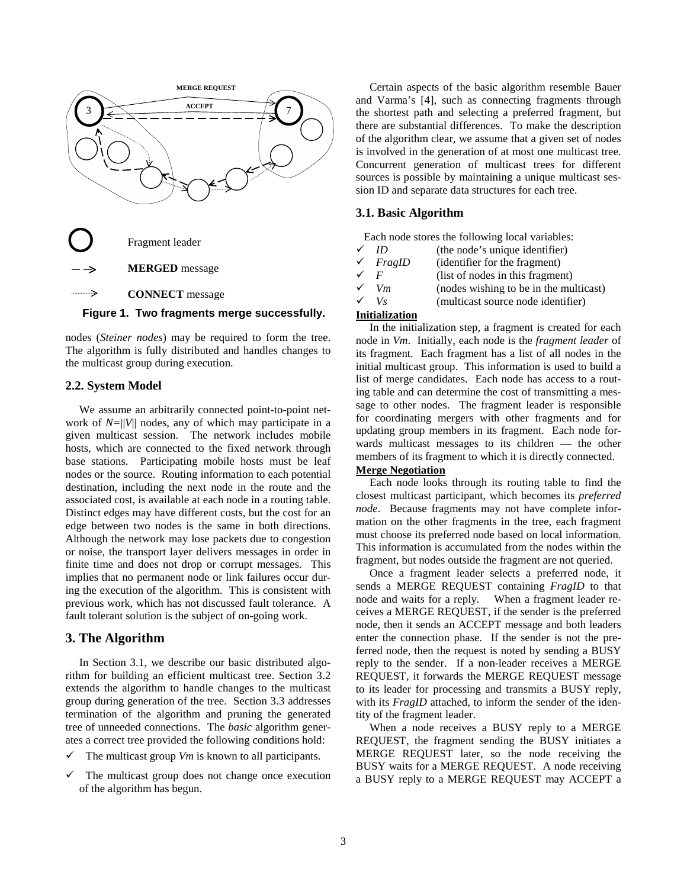

nodes (*Steiner nodes*) may be required to form the tree. The algorithm is fully distributed and handles changes to the multicast group during execution.

## **2.2. System Model**

We assume an arbitrarily connected point-to-point network of *N=*||*V*|| nodes, any of which may participate in a given multicast session. The network includes mobile hosts, which are connected to the fixed network through base stations. Participating mobile hosts must be leaf nodes or the source. Routing information to each potential destination, including the next node in the route and the associated cost, is available at each node in a routing table. Distinct edges may have different costs, but the cost for an edge between two nodes is the same in both directions. Although the network may lose packets due to congestion or noise, the transport layer delivers messages in order in finite time and does not drop or corrupt messages. This implies that no permanent node or link failures occur during the execution of the algorithm. This is consistent with previous work, which has not discussed fault tolerance. A fault tolerant solution is the subject of on-going work.

## **3. The Algorithm**

In Section 3.1, we describe our basic distributed algorithm for building an efficient multicast tree. Section 3.2 extends the algorithm to handle changes to the multicast group during generation of the tree. Section 3.3 addresses termination of the algorithm and pruning the generated tree of unneeded connections. The *basic* algorithm generates a correct tree provided the following conditions hold:

- $\checkmark$  The multicast group *Vm* is known to all participants.
- The multicast group does not change once execution of the algorithm has begun.

Certain aspects of the basic algorithm resemble Bauer and Varma's [4], such as connecting fragments through the shortest path and selecting a preferred fragment, but there are substantial differences. To make the description of the algorithm clear, we assume that a given set of nodes is involved in the generation of at most one multicast tree. Concurrent generation of multicast trees for different sources is possible by maintaining a unique multicast session ID and separate data structures for each tree.

#### **3.1. Basic Algorithm**

Each node stores the following local variables:

- *ID* (the node's unique identifier)
- FragID (identifier for the fragment)
- $\checkmark$  *F* (list of nodes in this fragment)
- *Vm* (nodes wishing to be in the multicast)
- $\checkmark$  *Vs* (multicast source node identifier)

## **Initialization**

In the initialization step, a fragment is created for each node in *Vm*. Initially, each node is the *fragment leader* of its fragment. Each fragment has a list of all nodes in the initial multicast group. This information is used to build a list of merge candidates. Each node has access to a routing table and can determine the cost of transmitting a message to other nodes. The fragment leader is responsible for coordinating mergers with other fragments and for updating group members in its fragment. Each node forwards multicast messages to its children — the other members of its fragment to which it is directly connected.

## **Merge Negotiation**

Each node looks through its routing table to find the closest multicast participant, which becomes its *preferred node*. Because fragments may not have complete information on the other fragments in the tree, each fragment must choose its preferred node based on local information. This information is accumulated from the nodes within the fragment, but nodes outside the fragment are not queried.

Once a fragment leader selects a preferred node, it sends a MERGE REQUEST containing *FragID* to that node and waits for a reply. When a fragment leader receives a MERGE REQUEST, if the sender is the preferred node, then it sends an ACCEPT message and both leaders enter the connection phase. If the sender is not the preferred node, then the request is noted by sending a BUSY reply to the sender. If a non-leader receives a MERGE REQUEST, it forwards the MERGE REQUEST message to its leader for processing and transmits a BUSY reply, with its *FragID* attached, to inform the sender of the identity of the fragment leader.

When a node receives a BUSY reply to a MERGE REQUEST, the fragment sending the BUSY initiates a MERGE REQUEST later, so the node receiving the BUSY waits for a MERGE REQUEST. A node receiving a BUSY reply to a MERGE REQUEST may ACCEPT a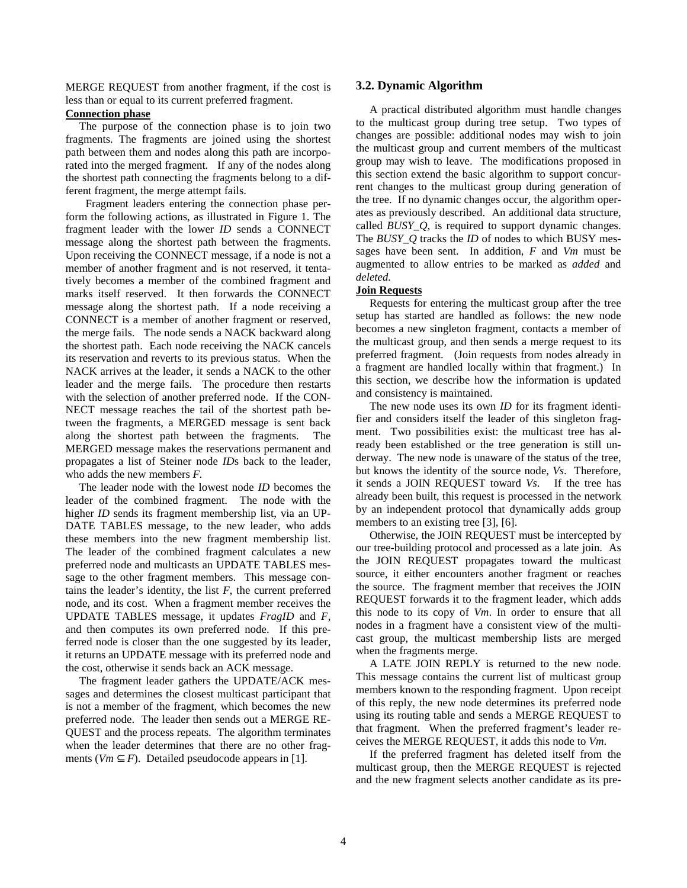MERGE REQUEST from another fragment, if the cost is less than or equal to its current preferred fragment.

#### **Connection phase**

The purpose of the connection phase is to join two fragments. The fragments are joined using the shortest path between them and nodes along this path are incorporated into the merged fragment. If any of the nodes along the shortest path connecting the fragments belong to a different fragment, the merge attempt fails.

Fragment leaders entering the connection phase perform the following actions, as illustrated in Figure 1. The fragment leader with the lower *ID* sends a CONNECT message along the shortest path between the fragments. Upon receiving the CONNECT message, if a node is not a member of another fragment and is not reserved, it tentatively becomes a member of the combined fragment and marks itself reserved. It then forwards the CONNECT message along the shortest path. If a node receiving a CONNECT is a member of another fragment or reserved, the merge fails. The node sends a NACK backward along the shortest path. Each node receiving the NACK cancels its reservation and reverts to its previous status. When the NACK arrives at the leader, it sends a NACK to the other leader and the merge fails. The procedure then restarts with the selection of another preferred node. If the CON-NECT message reaches the tail of the shortest path between the fragments, a MERGED message is sent back along the shortest path between the fragments. The MERGED message makes the reservations permanent and propagates a list of Steiner node *ID*s back to the leader, who adds the new members *F.*

The leader node with the lowest node *ID* becomes the leader of the combined fragment. The node with the higher *ID* sends its fragment membership list, via an UP-DATE TABLES message, to the new leader, who adds these members into the new fragment membership list. The leader of the combined fragment calculates a new preferred node and multicasts an UPDATE TABLES message to the other fragment members. This message contains the leader's identity, the list  $F$ , the current preferred node, and its cost. When a fragment member receives the UPDATE TABLES message, it updates *FragID* and *F*, and then computes its own preferred node. If this preferred node is closer than the one suggested by its leader, it returns an UPDATE message with its preferred node and the cost, otherwise it sends back an ACK message.

The fragment leader gathers the UPDATE/ACK messages and determines the closest multicast participant that is not a member of the fragment, which becomes the new preferred node. The leader then sends out a MERGE RE-QUEST and the process repeats. The algorithm terminates when the leader determines that there are no other fragments ( $Vm \subseteq F$ ). Detailed pseudocode appears in [1].

## **3.2. Dynamic Algorithm**

A practical distributed algorithm must handle changes to the multicast group during tree setup. Two types of changes are possible: additional nodes may wish to join the multicast group and current members of the multicast group may wish to leave. The modifications proposed in this section extend the basic algorithm to support concurrent changes to the multicast group during generation of the tree. If no dynamic changes occur, the algorithm operates as previously described. An additional data structure, called *BUSY\_Q,* is required to support dynamic changes. The *BUSY\_Q* tracks the *ID* of nodes to which BUSY messages have been sent. In addition, *F* and *Vm* must be augmented to allow entries to be marked as *added* and *deleted.*

## **Join Requests**

Requests for entering the multicast group after the tree setup has started are handled as follows: the new node becomes a new singleton fragment, contacts a member of the multicast group, and then sends a merge request to its preferred fragment. (Join requests from nodes already in a fragment are handled locally within that fragment.) In this section, we describe how the information is updated and consistency is maintained.

The new node uses its own *ID* for its fragment identifier and considers itself the leader of this singleton fragment. Two possibilities exist: the multicast tree has already been established or the tree generation is still underway. The new node is unaware of the status of the tree, but knows the identity of the source node, *Vs*. Therefore, it sends a JOIN REQUEST toward *Vs*. If the tree has already been built, this request is processed in the network by an independent protocol that dynamically adds group members to an existing tree [3], [6].

Otherwise, the JOIN REQUEST must be intercepted by our tree-building protocol and processed as a late join. As the JOIN REQUEST propagates toward the multicast source, it either encounters another fragment or reaches the source. The fragment member that receives the JOIN REQUEST forwards it to the fragment leader, which adds this node to its copy of *Vm*. In order to ensure that all nodes in a fragment have a consistent view of the multicast group, the multicast membership lists are merged when the fragments merge.

A LATE JOIN REPLY is returned to the new node. This message contains the current list of multicast group members known to the responding fragment. Upon receipt of this reply, the new node determines its preferred node using its routing table and sends a MERGE REQUEST to that fragment. When the preferred fragment's leader receives the MERGE REQUEST, it adds this node to *Vm*.

If the preferred fragment has deleted itself from the multicast group, then the MERGE REQUEST is rejected and the new fragment selects another candidate as its pre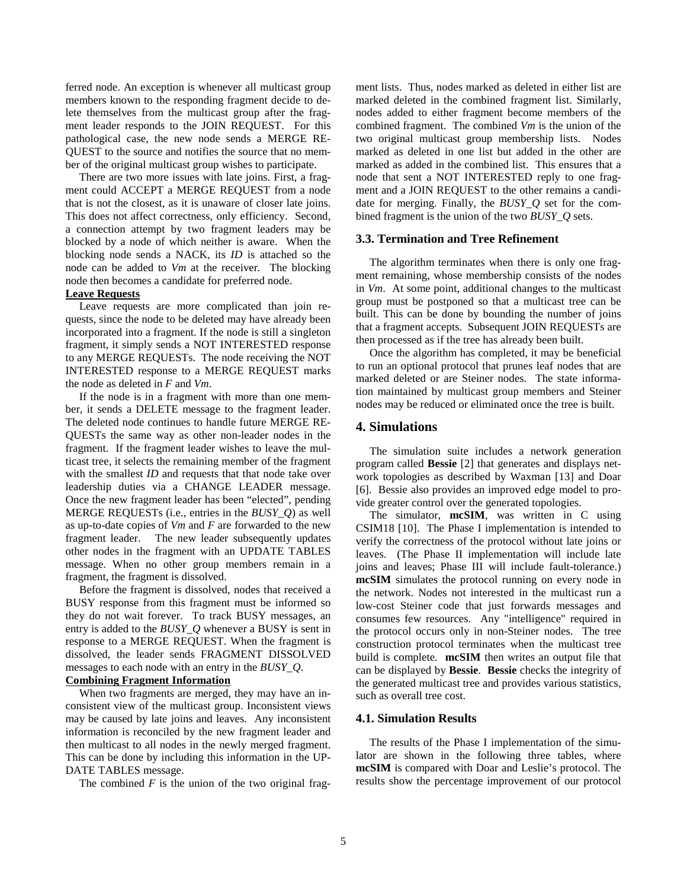ferred node. An exception is whenever all multicast group members known to the responding fragment decide to delete themselves from the multicast group after the fragment leader responds to the JOIN REQUEST. For this pathological case, the new node sends a MERGE RE-QUEST to the source and notifies the source that no member of the original multicast group wishes to participate.

There are two more issues with late joins. First, a fragment could ACCEPT a MERGE REQUEST from a node that is not the closest, as it is unaware of closer late joins. This does not affect correctness, only efficiency. Second, a connection attempt by two fragment leaders may be blocked by a node of which neither is aware. When the blocking node sends a NACK, its *ID* is attached so the node can be added to *Vm* at the receiver*.* The blocking node then becomes a candidate for preferred node.

#### **Leave Requests**

Leave requests are more complicated than join requests, since the node to be deleted may have already been incorporated into a fragment. If the node is still a singleton fragment, it simply sends a NOT INTERESTED response to any MERGE REQUESTs. The node receiving the NOT INTERESTED response to a MERGE REQUEST marks the node as deleted in *F* and *Vm*.

If the node is in a fragment with more than one member, it sends a DELETE message to the fragment leader. The deleted node continues to handle future MERGE RE-QUESTs the same way as other non-leader nodes in the fragment. If the fragment leader wishes to leave the multicast tree, it selects the remaining member of the fragment with the smallest *ID* and requests that that node take over leadership duties via a CHANGE LEADER message. Once the new fragment leader has been "elected", pending MERGE REQUESTs (i.e., entries in the *BUSY\_Q*) as well as up-to-date copies of *Vm* and *F* are forwarded to the new fragment leader. The new leader subsequently updates other nodes in the fragment with an UPDATE TABLES message. When no other group members remain in a fragment, the fragment is dissolved.

Before the fragment is dissolved, nodes that received a BUSY response from this fragment must be informed so they do not wait forever. To track BUSY messages, an entry is added to the *BUSY\_Q* whenever a BUSY is sent in response to a MERGE REQUEST. When the fragment is dissolved, the leader sends FRAGMENT DISSOLVED messages to each node with an entry in the *BUSY\_Q*.

## **Combining Fragment Information**

When two fragments are merged, they may have an inconsistent view of the multicast group. Inconsistent views may be caused by late joins and leaves. Any inconsistent information is reconciled by the new fragment leader and then multicast to all nodes in the newly merged fragment. This can be done by including this information in the UP-DATE TABLES message.

The combined  $F$  is the union of the two original frag-

ment lists. Thus, nodes marked as deleted in either list are marked deleted in the combined fragment list. Similarly, nodes added to either fragment become members of the combined fragment. The combined *Vm* is the union of the two original multicast group membership lists. Nodes marked as deleted in one list but added in the other are marked as added in the combined list. This ensures that a node that sent a NOT INTERESTED reply to one fragment and a JOIN REQUEST to the other remains a candidate for merging. Finally, the *BUSY\_Q* set for the combined fragment is the union of the two *BUSY\_Q* sets.

### **3.3. Termination and Tree Refinement**

The algorithm terminates when there is only one fragment remaining, whose membership consists of the nodes in *Vm*. At some point, additional changes to the multicast group must be postponed so that a multicast tree can be built. This can be done by bounding the number of joins that a fragment accepts. Subsequent JOIN REQUESTs are then processed as if the tree has already been built.

Once the algorithm has completed, it may be beneficial to run an optional protocol that prunes leaf nodes that are marked deleted or are Steiner nodes. The state information maintained by multicast group members and Steiner nodes may be reduced or eliminated once the tree is built.

#### **4. Simulations**

The simulation suite includes a network generation program called **Bessie** [2] that generates and displays network topologies as described by Waxman [13] and Doar [6]. Bessie also provides an improved edge model to provide greater control over the generated topologies.

The simulator, **mcSIM**, was written in C using CSIM18 [10]. The Phase I implementation is intended to verify the correctness of the protocol without late joins or leaves. (The Phase II implementation will include late joins and leaves; Phase III will include fault-tolerance.) **mcSIM** simulates the protocol running on every node in the network. Nodes not interested in the multicast run a low-cost Steiner code that just forwards messages and consumes few resources. Any "intelligence" required in the protocol occurs only in non-Steiner nodes. The tree construction protocol terminates when the multicast tree build is complete. **mcSIM** then writes an output file that can be displayed by **Bessie**. **Bessie** checks the integrity of the generated multicast tree and provides various statistics, such as overall tree cost.

#### **4.1. Simulation Results**

The results of the Phase I implementation of the simulator are shown in the following three tables, where **mcSIM** is compared with Doar and Leslie's protocol. The results show the percentage improvement of our protocol